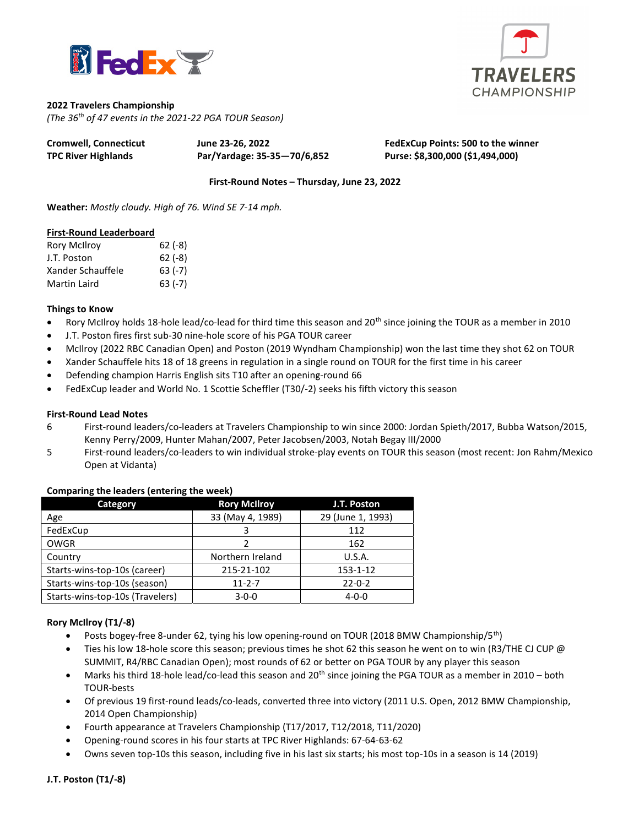



## 2022 Travelers Championship

(The 36th of 47 events in the 2021-22 PGA TOUR Season)

| <b>Cromwell, Connecticut</b> | June 23-26, 2022            | FedExCup Points: 500 to the winner |
|------------------------------|-----------------------------|------------------------------------|
| <b>TPC River Highlands</b>   | Par/Yardage: 35-35-70/6,852 | Purse: \$8,300,000 (\$1,494,000)   |

First-Round Notes – Thursday, June 23, 2022

Weather: Mostly cloudy. High of 76. Wind SE 7-14 mph.

#### First-Round Leaderboard

| Rory McIlroy      | $62(-8)$ |
|-------------------|----------|
| J.T. Poston       | $62(-8)$ |
| Xander Schauffele | $63(-7)$ |
| Martin Laird      | $63(-7)$ |

## Things to Know

- **•** Rory McIlroy holds 18-hole lead/co-lead for third time this season and 20<sup>th</sup> since joining the TOUR as a member in 2010
- J.T. Poston fires first sub-30 nine-hole score of his PGA TOUR career
- McIlroy (2022 RBC Canadian Open) and Poston (2019 Wyndham Championship) won the last time they shot 62 on TOUR
- Xander Schauffele hits 18 of 18 greens in regulation in a single round on TOUR for the first time in his career
- Defending champion Harris English sits T10 after an opening-round 66
- FedExCup leader and World No. 1 Scottie Scheffler (T30/-2) seeks his fifth victory this season

### First-Round Lead Notes

- 6 First-round leaders/co-leaders at Travelers Championship to win since 2000: Jordan Spieth/2017, Bubba Watson/2015, Kenny Perry/2009, Hunter Mahan/2007, Peter Jacobsen/2003, Notah Begay III/2000
- 5 First-round leaders/co-leaders to win individual stroke-play events on TOUR this season (most recent: Jon Rahm/Mexico Open at Vidanta)

| <b>Rory McIlroy</b> | J.T. Poston       |  |  |  |
|---------------------|-------------------|--|--|--|
| 33 (May 4, 1989)    | 29 (June 1, 1993) |  |  |  |
|                     | 112               |  |  |  |
|                     | 162               |  |  |  |
| Northern Ireland    | U.S.A.            |  |  |  |
| 215-21-102          | 153-1-12          |  |  |  |
| $11 - 2 - 7$        | $22 - 0 - 2$      |  |  |  |
| $3 - 0 - 0$         | $4 - 0 - 0$       |  |  |  |
|                     |                   |  |  |  |

## Comparing the leaders (entering the week)

## Rory McIlroy (T1/-8)

- Posts bogey-free 8-under 62, tying his low opening-round on TOUR (2018 BMW Championship/5<sup>th</sup>)
- Ties his low 18-hole score this season; previous times he shot 62 this season he went on to win (R3/THE CJ CUP @ SUMMIT, R4/RBC Canadian Open); most rounds of 62 or better on PGA TOUR by any player this season
- Marks his third 18-hole lead/co-lead this season and 20<sup>th</sup> since joining the PGA TOUR as a member in 2010 both TOUR-bests
- Of previous 19 first-round leads/co-leads, converted three into victory (2011 U.S. Open, 2012 BMW Championship, 2014 Open Championship)
- Fourth appearance at Travelers Championship (T17/2017, T12/2018, T11/2020)
- Opening-round scores in his four starts at TPC River Highlands: 67-64-63-62
- Owns seven top-10s this season, including five in his last six starts; his most top-10s in a season is 14 (2019)